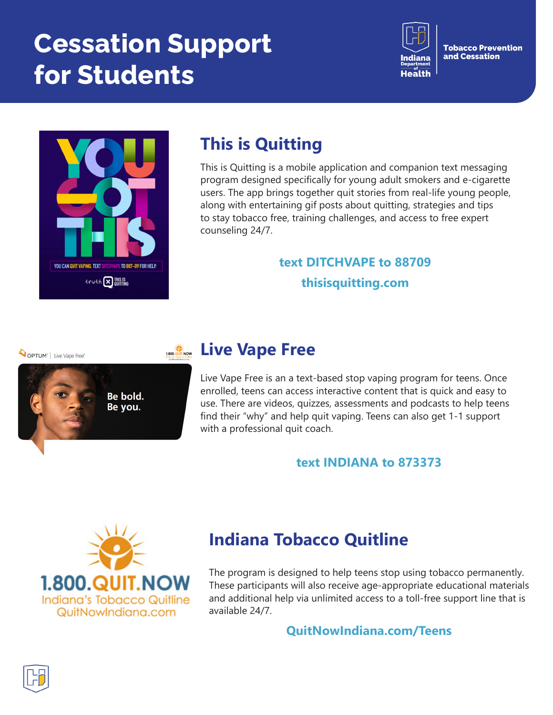# **Cessation Support for Students**



**Tobacco Prevention** and Cessation



# **This is Quitting**

This is Quitting is a mobile application and companion text messaging program designed specifically for young adult smokers and e-cigarette users. The app brings together quit stories from real-life young people, along with entertaining gif posts about quitting, strategies and tips to stay tobacco free, training challenges, and access to free expert counseling 24/7.

### **text DITCHVAPE to 88709 thisisquitting.com**

OPTUM<sup>®</sup> | Live Vape Free®



### **Live Vape Free**

Live Vape Free is an a text-based stop vaping program for teens. Once enrolled, teens can access interactive content that is quick and easy to use. There are videos, quizzes, assessments and podcasts to help teens find their "why" and help quit vaping. Teens can also get 1-1 support with a professional quit coach.

#### **text INDIANA to 873373**



### **Indiana Tobacco Quitline**

The program is designed to help teens stop using tobacco permanently. These participants will also receive age-appropriate educational materials and additional help via unlimited access to a toll-free support line that is available 24/7.

#### **QuitNowIndiana.com/Teens**